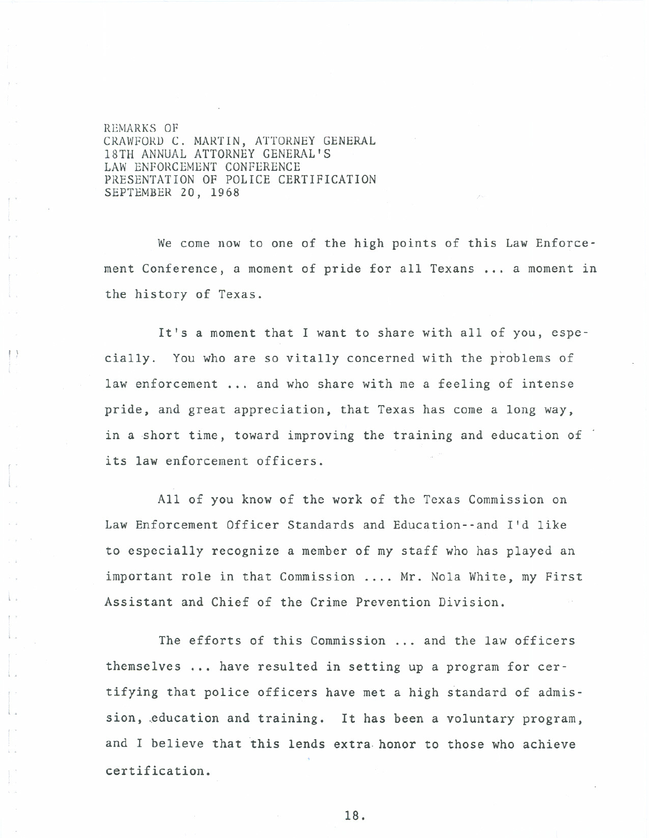REMARKS OF CRAWFORD C. MARTIN, ATTORNEY GENERAL 18TH ANNUAL ATTORNEY GENERAL'S LAW ENFORCEMENT CONFERENCE PRESENTATION OF POLICE CERTIFICATION SEPTEMBER 20, 1968

We come now to one of the high points of this Law Enforcement Conference, a moment of pride for all Texans ... a moment in the history of Texas.

It's a moment that I want to share with all of you, espe cially. You who are so vitally concerned with the problems of law enforcement ... and who share with me a feeling of intense pride, and great appreciation, that Texas has come a long way, in a short time, toward improving the training and education of its law enforcement officers.

All of you know of the work of the Texas Commission on Law Enforcement Officer Standards and Education--and I'd like to especially recognize a member of my staff who has played an important role in that Commission .... Mr. Nola White, my First Assistant and Chief of the Crime Prevention Division.

The efforts of this Commission ... and the law officers themselves ... have resulted in setting up a program for certifying that police officers have met a high standard of admission, education and training. It has been a voluntary program, and I believe that this lends extra. honor to those who achieve certification.

18.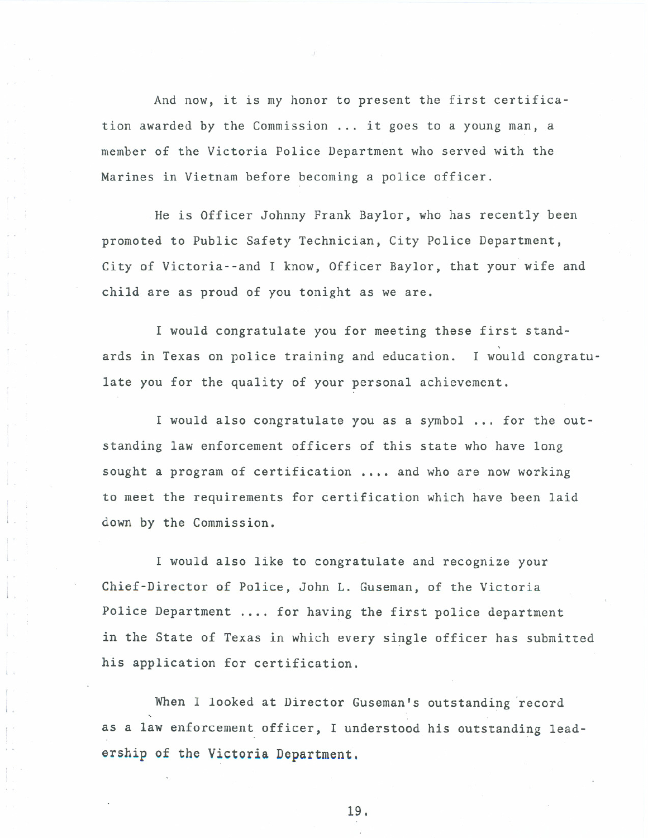And now, it is my honor to present the first certification awarded by the Commission... it goes to a young man, a member of the Victoria Police Department who served with the Marines in Vietnam before becoming a police officer.

He is Officer Johnny Frank Baylor, who has recently been promoted to Public Safety Technician, City Police Department, City of Victoria--and I know, Officer Baylor, that your wife and child are as proud of you tonight as we are.

I would congratulate you for meeting these first standards in Texas on police training and education. , I would congratulate you for the quality of your personal achievement.

I would also congratulate you as a symbol... for the outstanding law enforcement officers of this state who have long sought a program of certification .... and who are now working to meet the requirements for certification which have been laid down by the Commission.

I would also like to congratulate and recognize your Chief-Director of Police, John L. Guseman, of the Victoria Police Department .... for having the first police department in the State of Texas in which every single officer has submitted his application for certification.

When I looked at Director Guseman's outstanding 'record as a law enforcement officer, I understood his outstanding leadership of the Victoria Department.

19.